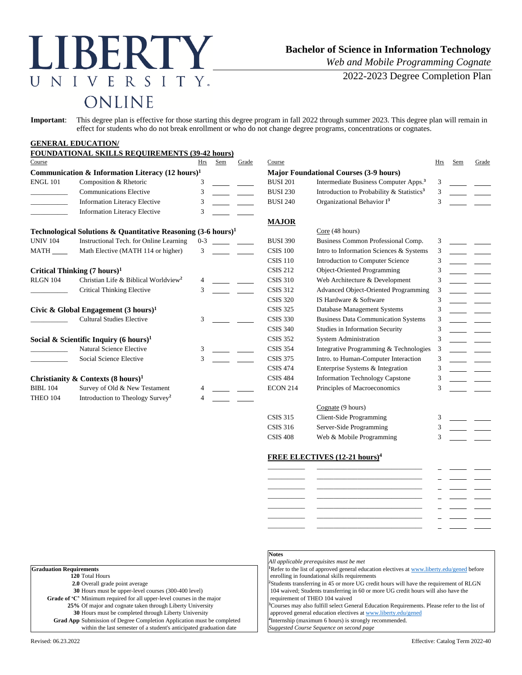# LIBERTY UNIVERSITY. ONLINE

## **Bachelor of Science in Information Technology**

*Web and Mobile Programming Cognate*

2022-2023 Degree Completion Plan

**Important**: This degree plan is effective for those starting this degree program in fall 2022 through summer 2023. This degree plan will remain in effect for students who do not break enrollment or who do not change degree programs, concentrations or cognates.

#### **GENERAL EDUCATION/ FOUNDATIONAL SKILLS REQUIREMENTS (39-42 hours)**

| Course                                                      | FUUNDATIUNAL SKILLS KEUUIKEMENTS (39-42 noufs)                           | Hrs     | Sem             | Grade                                         | Course          |                                                       | Hrs           | Sem | Grade |
|-------------------------------------------------------------|--------------------------------------------------------------------------|---------|-----------------|-----------------------------------------------|-----------------|-------------------------------------------------------|---------------|-----|-------|
| Communication & Information Literacy $(12 \text{ hours})^1$ |                                                                          |         |                 | <b>Major Foundational Courses (3-9 hours)</b> |                 |                                                       |               |     |       |
| <b>ENGL 101</b>                                             | Composition & Rhetoric                                                   | 3       |                 |                                               | <b>BUSI 201</b> | Intermediate Business Computer Apps. <sup>3</sup>     | 3             |     |       |
|                                                             | <b>Communications Elective</b>                                           | 3       |                 |                                               | <b>BUSI 230</b> | Introduction to Probability & Statistics <sup>3</sup> | 3             |     |       |
|                                                             | <b>Information Literacy Elective</b>                                     | 3       |                 |                                               | <b>BUSI 240</b> | Organizational Behavior I <sup>3</sup>                | $\mathcal{F}$ |     |       |
|                                                             | <b>Information Literacy Elective</b>                                     | 3       |                 |                                               |                 |                                                       |               |     |       |
|                                                             |                                                                          |         |                 |                                               | <b>MAJOR</b>    |                                                       |               |     |       |
|                                                             | Technological Solutions & Quantitative Reasoning $(3-6 \text{ hours})^1$ |         |                 |                                               |                 | Core (48 hours)                                       |               |     |       |
| <b>UNIV 104</b>                                             | Instructional Tech. for Online Learning                                  | $0 - 3$ |                 |                                               | <b>BUSI 390</b> | Business Common Professional Comp.                    | 3             |     |       |
| <b>MATH</b>                                                 | Math Elective (MATH 114 or higher)                                       | 3       |                 |                                               | <b>CSIS 100</b> | Intro to Information Sciences & Systems               | 3             |     |       |
|                                                             |                                                                          |         |                 |                                               | <b>CSIS 110</b> | Introduction to Computer Science                      | 3             |     |       |
|                                                             | Critical Thinking $(7 \text{ hours})^1$                                  |         |                 |                                               | <b>CSIS 212</b> | <b>Object-Oriented Programming</b>                    |               |     |       |
| <b>RLGN 104</b>                                             | Christian Life & Biblical Worldview <sup>2</sup>                         |         |                 |                                               | <b>CSIS 310</b> | Web Architecture & Development                        | 3             |     |       |
|                                                             | <b>Critical Thinking Elective</b>                                        | 3       |                 |                                               | <b>CSIS 312</b> | Advanced Object-Oriented Programming                  | 3             |     |       |
|                                                             |                                                                          |         |                 |                                               | <b>CSIS 320</b> | IS Hardware & Software                                | 3             |     |       |
|                                                             | Civic & Global Engagement $(3 \text{ hours})^1$                          |         |                 |                                               | <b>CSIS 325</b> | Database Management Systems                           | 3             |     |       |
|                                                             | <b>Cultural Studies Elective</b>                                         | 3       |                 |                                               | <b>CSIS 330</b> | <b>Business Data Communication Systems</b>            | 3             |     |       |
|                                                             |                                                                          |         |                 |                                               | <b>CSIS 340</b> | Studies in Information Security                       | 3             |     |       |
|                                                             | Social & Scientific Inquiry (6 hours) <sup>1</sup>                       |         |                 |                                               | <b>CSIS 352</b> | <b>System Administration</b>                          | 3             |     |       |
|                                                             | <b>Natural Science Elective</b>                                          | 3       |                 |                                               | <b>CSIS 354</b> | Integrative Programming & Technologies                | 3             |     |       |
|                                                             | Social Science Elective                                                  | 3       |                 |                                               | <b>CSIS 375</b> | Intro. to Human-Computer Interaction                  | 3             |     |       |
|                                                             |                                                                          |         |                 |                                               | <b>CSIS 474</b> | Enterprise Systems & Integration                      | 3             |     |       |
| Christianity & Contexts $(8 \text{ hours})^1$               |                                                                          |         | <b>CSIS 484</b> | <b>Information Technology Capstone</b>        | 3               |                                                       |               |     |       |
| <b>BIBL 104</b>                                             | Survey of Old & New Testament                                            |         |                 |                                               | <b>ECON 214</b> | Principles of Macroeconomics                          | 3             |     |       |
| THEO 104                                                    | Introduction to Theology Survey <sup>2</sup>                             |         |                 |                                               |                 |                                                       |               |     |       |
|                                                             |                                                                          |         |                 |                                               |                 | $C_{\text{const}}$ (0 kays)                           |               |     |       |

|                 | Cognate (9 hours)        |   |  |
|-----------------|--------------------------|---|--|
| <b>CSIS 315</b> | Client-Side Programming  | 3 |  |
| CSIS 316        | Server-Side Programming  | 3 |  |
| <b>CSIS 408</b> | Web & Mobile Programming |   |  |
|                 |                          |   |  |

#### **FREE ELECTIVES (12-21 hours)<sup>4</sup>**

| ______________ |  |  |
|----------------|--|--|
|                |  |  |
| ___________    |  |  |
| __________     |  |  |
| _________      |  |  |
| ________       |  |  |
| __________     |  |  |
|                |  |  |
| _______        |  |  |

| <b>Graduation Requirements</b>                                                |  |
|-------------------------------------------------------------------------------|--|
| 120 Total Hours                                                               |  |
| 2.0 Overall grade point average                                               |  |
| 30 Hours must be upper-level courses (300-400 level)                          |  |
| Grade of 'C' Minimum required for all upper-level courses in the major        |  |
| 25% Of major and cognate taken through Liberty University                     |  |
| 30 Hours must be completed through Liberty University                         |  |
| <b>Grad App</b> Submission of Degree Completion Application must be completed |  |
| within the last semester of a student's anticipated graduation date           |  |

# **Notes**

*All applicable prerequisites must be met* <sup>1</sup>Refer to the list of approved general education electives a[t www.liberty.edu/gened](http://www.liberty.edu/gened) before enrolling in foundational skills requirements <sup>2</sup>Students transferring in 45 or more UG credit hours will have the requirement of RLGN

104 waived; Students transferring in 60 or more UG credit hours will also have the requirement of THEO 104 waived

<sup>3</sup>Courses may also fulfill select General Education Requirements. Please refer to the list of approved general education electives a[t www.liberty.edu/gened](http://www.liberty.edu/gened)

<sup>4</sup>Internship (maximum 6 hours) is strongly recommended.

within the last semester of a student's anticipated graduation date *Suggested Course Sequence on second page*